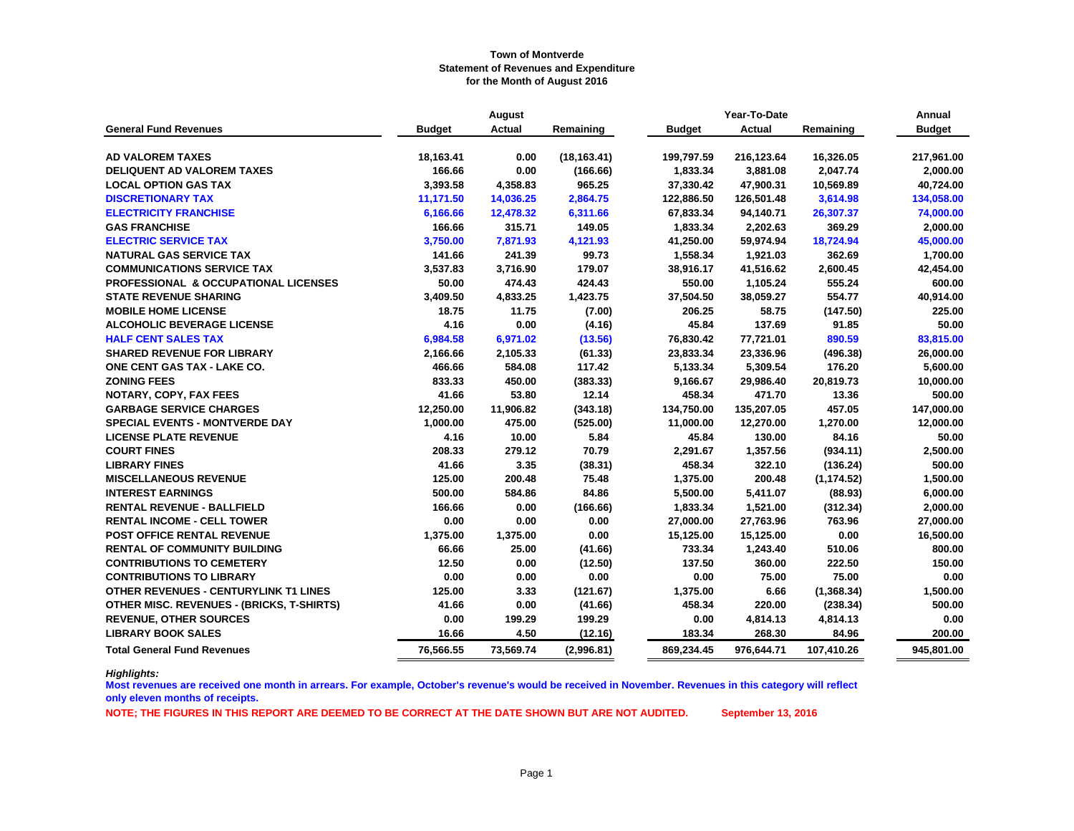|                                                  |               | August    |              |               | Year-To-Date  |             |               |  |  |
|--------------------------------------------------|---------------|-----------|--------------|---------------|---------------|-------------|---------------|--|--|
| <b>General Fund Revenues</b>                     | <b>Budget</b> | Actual    | Remaining    | <b>Budget</b> | <b>Actual</b> | Remaining   | <b>Budget</b> |  |  |
|                                                  |               |           |              |               |               |             |               |  |  |
| <b>AD VALOREM TAXES</b>                          | 18,163.41     | 0.00      | (18, 163.41) | 199,797.59    | 216,123.64    | 16,326.05   | 217,961.00    |  |  |
| <b>DELIQUENT AD VALOREM TAXES</b>                | 166.66        | 0.00      | (166.66)     | 1,833.34      | 3,881.08      | 2,047.74    | 2,000.00      |  |  |
| <b>LOCAL OPTION GAS TAX</b>                      | 3,393.58      | 4,358.83  | 965.25       | 37,330.42     | 47,900.31     | 10,569.89   | 40,724.00     |  |  |
| <b>DISCRETIONARY TAX</b>                         | 11,171.50     | 14,036.25 | 2,864.75     | 122,886.50    | 126,501.48    | 3,614.98    | 134,058.00    |  |  |
| <b>ELECTRICITY FRANCHISE</b>                     | 6,166.66      | 12,478.32 | 6,311.66     | 67,833.34     | 94,140.71     | 26,307.37   | 74,000.00     |  |  |
| <b>GAS FRANCHISE</b>                             | 166.66        | 315.71    | 149.05       | 1,833.34      | 2,202.63      | 369.29      | 2,000.00      |  |  |
| <b>ELECTRIC SERVICE TAX</b>                      | 3,750.00      | 7,871.93  | 4,121.93     | 41,250.00     | 59,974.94     | 18,724.94   | 45,000.00     |  |  |
| <b>NATURAL GAS SERVICE TAX</b>                   | 141.66        | 241.39    | 99.73        | 1,558.34      | 1,921.03      | 362.69      | 1,700.00      |  |  |
| <b>COMMUNICATIONS SERVICE TAX</b>                | 3,537.83      | 3,716.90  | 179.07       | 38,916.17     | 41,516.62     | 2,600.45    | 42,454.00     |  |  |
| PROFESSIONAL & OCCUPATIONAL LICENSES             | 50.00         | 474.43    | 424.43       | 550.00        | 1,105.24      | 555.24      | 600.00        |  |  |
| <b>STATE REVENUE SHARING</b>                     | 3,409.50      | 4,833.25  | 1,423.75     | 37,504.50     | 38,059.27     | 554.77      | 40,914.00     |  |  |
| <b>MOBILE HOME LICENSE</b>                       | 18.75         | 11.75     | (7.00)       | 206.25        | 58.75         | (147.50)    | 225.00        |  |  |
| <b>ALCOHOLIC BEVERAGE LICENSE</b>                | 4.16          | 0.00      | (4.16)       | 45.84         | 137.69        | 91.85       | 50.00         |  |  |
| <b>HALF CENT SALES TAX</b>                       | 6,984.58      | 6,971.02  | (13.56)      | 76,830.42     | 77,721.01     | 890.59      | 83,815.00     |  |  |
| <b>SHARED REVENUE FOR LIBRARY</b>                | 2,166.66      | 2,105.33  | (61.33)      | 23,833.34     | 23,336.96     | (496.38)    | 26,000.00     |  |  |
| <b>ONE CENT GAS TAX - LAKE CO.</b>               | 466.66        | 584.08    | 117.42       | 5,133.34      | 5,309.54      | 176.20      | 5,600.00      |  |  |
| <b>ZONING FEES</b>                               | 833.33        | 450.00    | (383.33)     | 9,166.67      | 29,986.40     | 20,819.73   | 10,000.00     |  |  |
| NOTARY, COPY, FAX FEES                           | 41.66         | 53.80     | 12.14        | 458.34        | 471.70        | 13.36       | 500.00        |  |  |
| <b>GARBAGE SERVICE CHARGES</b>                   | 12,250.00     | 11,906.82 | (343.18)     | 134,750.00    | 135,207.05    | 457.05      | 147,000.00    |  |  |
| <b>SPECIAL EVENTS - MONTVERDE DAY</b>            | 1,000.00      | 475.00    | (525.00)     | 11,000.00     | 12,270.00     | 1,270.00    | 12,000.00     |  |  |
| <b>LICENSE PLATE REVENUE</b>                     | 4.16          | 10.00     | 5.84         | 45.84         | 130.00        | 84.16       | 50.00         |  |  |
| <b>COURT FINES</b>                               | 208.33        | 279.12    | 70.79        | 2,291.67      | 1,357.56      | (934.11)    | 2,500.00      |  |  |
| <b>LIBRARY FINES</b>                             | 41.66         | 3.35      | (38.31)      | 458.34        | 322.10        | (136.24)    | 500.00        |  |  |
| <b>MISCELLANEOUS REVENUE</b>                     | 125.00        | 200.48    | 75.48        | 1,375.00      | 200.48        | (1, 174.52) | 1,500.00      |  |  |
| <b>INTEREST EARNINGS</b>                         | 500.00        | 584.86    | 84.86        | 5,500.00      | 5,411.07      | (88.93)     | 6,000.00      |  |  |
| <b>RENTAL REVENUE - BALLFIELD</b>                | 166.66        | 0.00      | (166.66)     | 1,833.34      | 1,521.00      | (312.34)    | 2,000.00      |  |  |
| <b>RENTAL INCOME - CELL TOWER</b>                | 0.00          | 0.00      | 0.00         | 27,000.00     | 27,763.96     | 763.96      | 27,000.00     |  |  |
| POST OFFICE RENTAL REVENUE                       | 1,375.00      | 1,375.00  | 0.00         | 15,125.00     | 15,125.00     | 0.00        | 16,500.00     |  |  |
| <b>RENTAL OF COMMUNITY BUILDING</b>              | 66.66         | 25.00     | (41.66)      | 733.34        | 1,243.40      | 510.06      | 800.00        |  |  |
| <b>CONTRIBUTIONS TO CEMETERY</b>                 | 12.50         | 0.00      | (12.50)      | 137.50        | 360.00        | 222.50      | 150.00        |  |  |
| <b>CONTRIBUTIONS TO LIBRARY</b>                  | 0.00          | 0.00      | 0.00         | 0.00          | 75.00         | 75.00       | 0.00          |  |  |
| OTHER REVENUES - CENTURYLINK T1 LINES            | 125.00        | 3.33      | (121.67)     | 1,375.00      | 6.66          | (1,368.34)  | 1,500.00      |  |  |
| <b>OTHER MISC. REVENUES - (BRICKS, T-SHIRTS)</b> | 41.66         | 0.00      | (41.66)      | 458.34        | 220.00        | (238.34)    | 500.00        |  |  |
| <b>REVENUE, OTHER SOURCES</b>                    | 0.00          | 199.29    | 199.29       | 0.00          | 4,814.13      | 4,814.13    | 0.00          |  |  |
| <b>LIBRARY BOOK SALES</b>                        | 16.66         | 4.50      | (12.16)      | 183.34        | 268.30        | 84.96       | 200.00        |  |  |
| <b>Total General Fund Revenues</b>               | 76,566.55     | 73,569.74 | (2,996.81)   | 869,234.45    | 976,644.71    | 107,410.26  | 945,801.00    |  |  |

*Highlights:*

**Most revenues are received one month in arrears. For example, October's revenue's would be received in November. Revenues in this category will reflect only eleven months of receipts.**

**NOTE; THE FIGURES IN THIS REPORT ARE DEEMED TO BE CORRECT AT THE DATE SHOWN BUT ARE NOT AUDITED. September 13, 2016**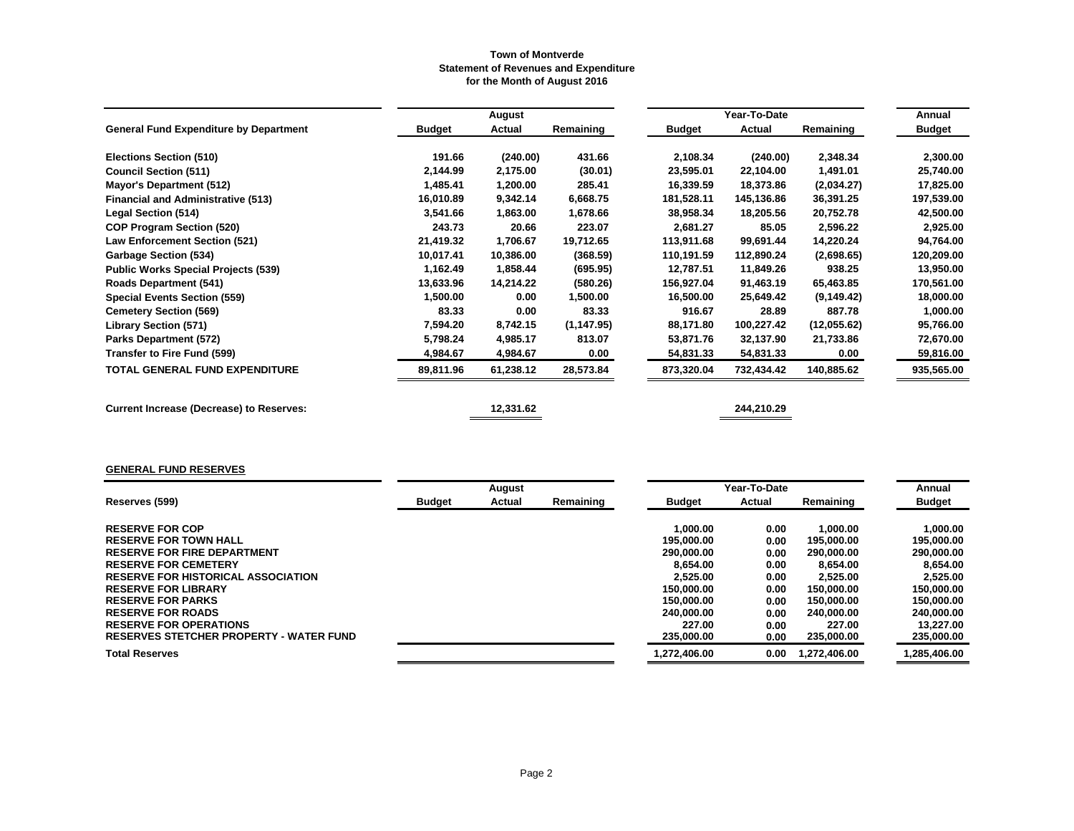|                                                 |               | August    |             |               | Year-To-Date |             | Annual        |
|-------------------------------------------------|---------------|-----------|-------------|---------------|--------------|-------------|---------------|
| <b>General Fund Expenditure by Department</b>   | <b>Budget</b> | Actual    | Remaining   | <b>Budget</b> | Actual       | Remaining   | <b>Budget</b> |
| <b>Elections Section (510)</b>                  | 191.66        | (240.00)  | 431.66      | 2,108.34      | (240.00)     | 2,348.34    | 2,300.00      |
| <b>Council Section (511)</b>                    | 2,144.99      | 2,175.00  | (30.01)     | 23,595.01     | 22,104.00    | 1,491.01    | 25,740.00     |
| Mayor's Department (512)                        | 1,485.41      | 1,200.00  | 285.41      | 16,339.59     | 18,373.86    | (2,034.27)  | 17,825.00     |
| <b>Financial and Administrative (513)</b>       | 16,010.89     | 9,342.14  | 6,668.75    | 181,528.11    | 145,136.86   | 36,391.25   | 197,539.00    |
| Legal Section (514)                             | 3,541.66      | 1,863.00  | 1,678.66    | 38,958.34     | 18,205.56    | 20,752.78   | 42,500.00     |
| <b>COP Program Section (520)</b>                | 243.73        | 20.66     | 223.07      | 2,681.27      | 85.05        | 2,596.22    | 2,925.00      |
| <b>Law Enforcement Section (521)</b>            | 21,419.32     | 1,706.67  | 19,712.65   | 113,911.68    | 99,691.44    | 14,220.24   | 94,764.00     |
| <b>Garbage Section (534)</b>                    | 10,017.41     | 10,386.00 | (368.59)    | 110,191.59    | 112,890.24   | (2,698.65)  | 120,209.00    |
| <b>Public Works Special Projects (539)</b>      | 1,162.49      | 1,858.44  | (695.95)    | 12,787.51     | 11,849.26    | 938.25      | 13,950.00     |
| <b>Roads Department (541)</b>                   | 13,633.96     | 14,214.22 | (580.26)    | 156,927.04    | 91,463.19    | 65,463.85   | 170,561.00    |
| <b>Special Events Section (559)</b>             | 1,500.00      | 0.00      | 1,500.00    | 16,500.00     | 25,649.42    | (9, 149.42) | 18,000.00     |
| <b>Cemetery Section (569)</b>                   | 83.33         | 0.00      | 83.33       | 916.67        | 28.89        | 887.78      | 1,000.00      |
| <b>Library Section (571)</b>                    | 7,594.20      | 8,742.15  | (1, 147.95) | 88,171.80     | 100,227.42   | (12,055.62) | 95,766.00     |
| Parks Department (572)                          | 5,798.24      | 4,985.17  | 813.07      | 53,871.76     | 32,137.90    | 21,733.86   | 72,670.00     |
| Transfer to Fire Fund (599)                     | 4,984.67      | 4,984.67  | 0.00        | 54,831.33     | 54,831.33    | 0.00        | 59,816.00     |
| <b>TOTAL GENERAL FUND EXPENDITURE</b>           | 89,811.96     | 61,238.12 | 28,573.84   | 873,320.04    | 732,434.42   | 140,885.62  | 935,565.00    |
| <b>Current Increase (Decrease) to Reserves:</b> |               | 12,331.62 |             |               | 244,210.29   |             |               |

# **GENERAL FUND RESERVES**

|                                                |               | August |           | Year-To-Date  | Annual |              |               |
|------------------------------------------------|---------------|--------|-----------|---------------|--------|--------------|---------------|
| Reserves (599)                                 | <b>Budget</b> | Actual | Remaining | <b>Budget</b> | Actual | Remaining    | <b>Budget</b> |
|                                                |               |        |           |               |        |              |               |
| <b>RESERVE FOR COP</b>                         |               |        |           | 1.000.00      | 0.00   | 1.000.00     | 1.000.00      |
| <b>RESERVE FOR TOWN HALL</b>                   |               |        |           | 195.000.00    | 0.00   | 195.000.00   | 195,000,00    |
| <b>RESERVE FOR FIRE DEPARTMENT</b>             |               |        |           | 290.000.00    | 0.00   | 290.000.00   | 290,000,00    |
| <b>RESERVE FOR CEMETERY</b>                    |               |        |           | 8.654.00      | 0.00   | 8.654.00     | 8.654.00      |
| <b>RESERVE FOR HISTORICAL ASSOCIATION</b>      |               |        |           | 2.525.00      | 0.00   | 2.525.00     | 2.525.00      |
| <b>RESERVE FOR LIBRARY</b>                     |               |        |           | 150.000.00    | 0.00   | 150,000,00   | 150,000,00    |
| <b>RESERVE FOR PARKS</b>                       |               |        |           | 150.000.00    | 0.00   | 150,000,00   | 150,000.00    |
| <b>RESERVE FOR ROADS</b>                       |               |        |           | 240.000.00    | 0.00   | 240.000.00   | 240,000,00    |
| <b>RESERVE FOR OPERATIONS</b>                  |               |        |           | 227.00        | 0.00   | 227.00       | 13.227.00     |
| <b>RESERVES STETCHER PROPERTY - WATER FUND</b> |               |        |           | 235,000.00    | 0.00   | 235,000.00   | 235,000.00    |
| <b>Total Reserves</b>                          |               |        |           | 1.272.406.00  | 0.00   | 1.272.406.00 | 1,285,406.00  |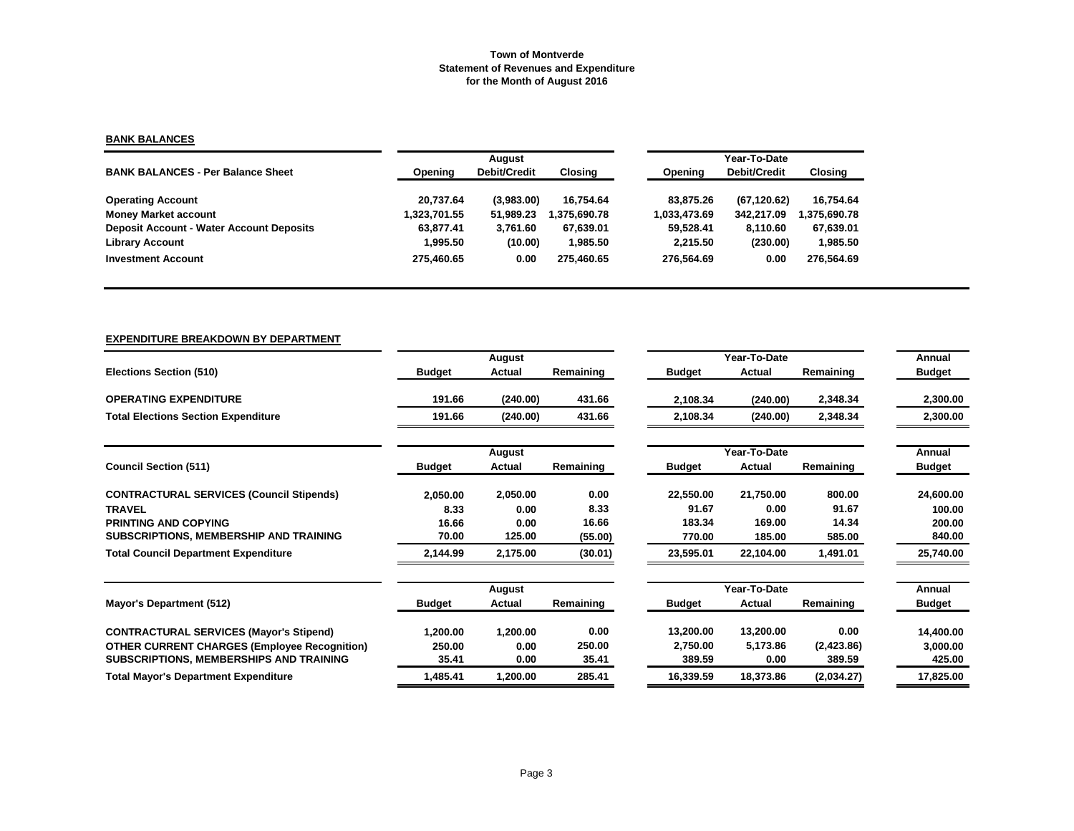# **BANK BALANCES**

|                                                 |              | August       |             | Year-To-Date |              |              |  |
|-------------------------------------------------|--------------|--------------|-------------|--------------|--------------|--------------|--|
| <b>BANK BALANCES - Per Balance Sheet</b>        | Opening      | Debit/Credit | Closing     | Opening      | Debit/Credit | Closing      |  |
| <b>Operating Account</b>                        | 20.737.64    | (3,983.00)   | 16.754.64   | 83.875.26    | (67.120.62)  | 16,754.64    |  |
| <b>Money Market account</b>                     | 1,323,701.55 | 51.989.23    | .375.690.78 | 1,033,473.69 | 342.217.09   | 1,375,690.78 |  |
| <b>Deposit Account - Water Account Deposits</b> | 63.877.41    | 3.761.60     | 67.639.01   | 59.528.41    | 8.110.60     | 67,639.01    |  |
| <b>Library Account</b>                          | 1.995.50     | (10.00)      | 1,985.50    | 2.215.50     | (230.00)     | 1,985.50     |  |
| <b>Investment Account</b>                       | 275.460.65   | 0.00         | 275.460.65  | 276.564.69   | 0.00         | 276,564.69   |  |

|--|

|                                                     |               | August   |           |               | Year-To-Date |            | Annual        |
|-----------------------------------------------------|---------------|----------|-----------|---------------|--------------|------------|---------------|
| Elections Section (510)                             | <b>Budget</b> | Actual   | Remaining | <b>Budget</b> | Actual       | Remaining  | <b>Budget</b> |
| <b>OPERATING EXPENDITURE</b>                        | 191.66        | (240.00) | 431.66    | 2,108.34      | (240.00)     | 2,348.34   | 2,300.00      |
| <b>Total Elections Section Expenditure</b>          | 191.66        | (240.00) | 431.66    | 2,108.34      | (240.00)     | 2,348.34   | 2,300.00      |
|                                                     |               | August   |           |               | Year-To-Date |            | Annual        |
| <b>Council Section (511)</b>                        | <b>Budget</b> | Actual   | Remaining | <b>Budget</b> | Actual       | Remaining  | <b>Budget</b> |
| <b>CONTRACTURAL SERVICES (Council Stipends)</b>     | 2,050.00      | 2,050.00 | 0.00      | 22,550.00     | 21,750.00    | 800.00     | 24,600.00     |
| <b>TRAVEL</b>                                       | 8.33          | 0.00     | 8.33      | 91.67         | 0.00         | 91.67      | 100.00        |
| <b>PRINTING AND COPYING</b>                         | 16.66         | 0.00     | 16.66     | 183.34        | 169.00       | 14.34      | 200.00        |
| SUBSCRIPTIONS, MEMBERSHIP AND TRAINING              | 70.00         | 125.00   | (55.00)   | 770.00        | 185.00       | 585.00     | 840.00        |
| <b>Total Council Department Expenditure</b>         | 2,144.99      | 2,175.00 | (30.01)   | 23,595.01     | 22,104.00    | 1,491.01   | 25,740.00     |
|                                                     |               | August   |           |               | Year-To-Date |            | Annual        |
| Mayor's Department (512)                            | <b>Budget</b> | Actual   | Remaining | <b>Budget</b> | Actual       | Remaining  | <b>Budget</b> |
| <b>CONTRACTURAL SERVICES (Mayor's Stipend)</b>      | 1,200.00      | 1,200.00 | 0.00      | 13,200.00     | 13,200.00    | 0.00       | 14,400.00     |
| <b>OTHER CURRENT CHARGES (Employee Recognition)</b> | 250.00        | 0.00     | 250.00    | 2,750.00      | 5,173.86     | (2,423.86) | 3,000.00      |
| SUBSCRIPTIONS, MEMBERSHIPS AND TRAINING             | 35.41         | 0.00     | 35.41     | 389.59        | 0.00         | 389.59     | 425.00        |
| <b>Total Mayor's Department Expenditure</b>         | 1,485.41      | 1,200.00 | 285.41    | 16,339.59     | 18.373.86    | (2,034.27) | 17,825.00     |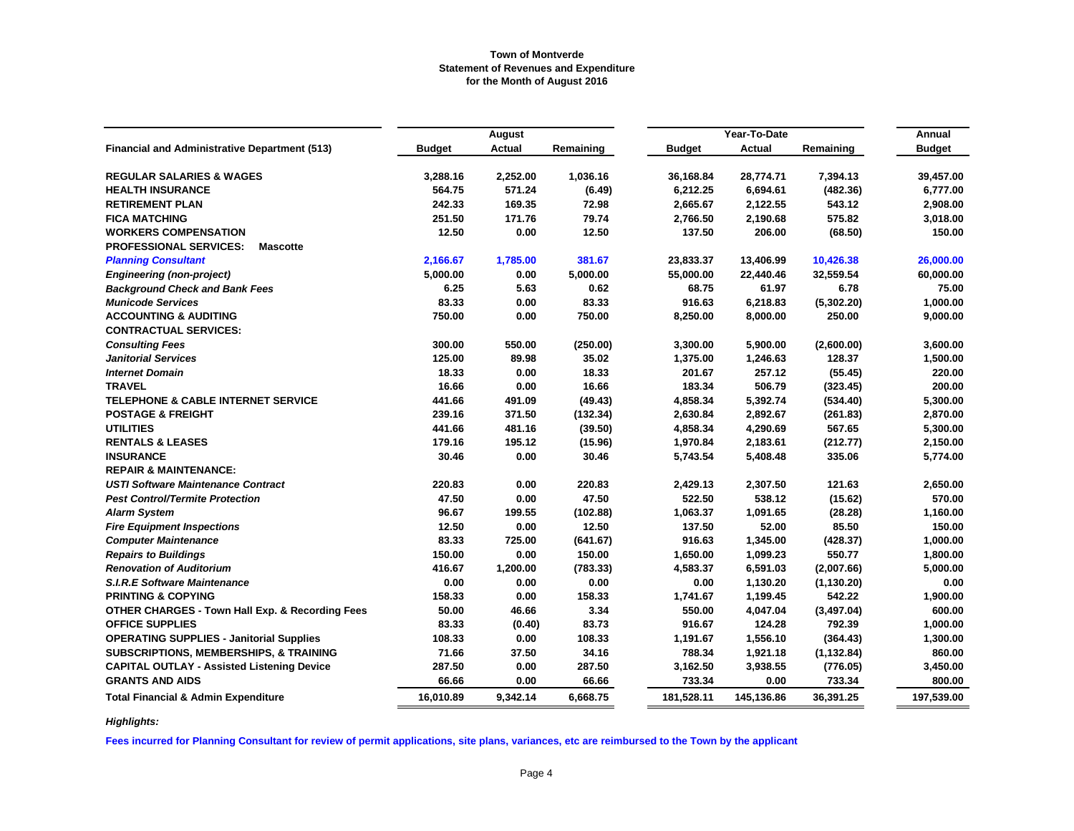|                                                            |               | August        |           |               | Year-To-Date  |             | Annual        |
|------------------------------------------------------------|---------------|---------------|-----------|---------------|---------------|-------------|---------------|
| <b>Financial and Administrative Department (513)</b>       | <b>Budget</b> | <b>Actual</b> | Remaining | <b>Budget</b> | <b>Actual</b> | Remaining   | <b>Budget</b> |
| <b>REGULAR SALARIES &amp; WAGES</b>                        | 3,288.16      | 2,252.00      | 1,036.16  | 36,168.84     | 28,774.71     | 7,394.13    | 39,457.00     |
| <b>HEALTH INSURANCE</b>                                    | 564.75        | 571.24        | (6.49)    | 6,212.25      | 6,694.61      | (482.36)    | 6,777.00      |
| <b>RETIREMENT PLAN</b>                                     | 242.33        | 169.35        | 72.98     | 2,665.67      | 2,122.55      | 543.12      | 2,908.00      |
| <b>FICA MATCHING</b>                                       | 251.50        | 171.76        | 79.74     | 2,766.50      | 2,190.68      | 575.82      | 3,018.00      |
| <b>WORKERS COMPENSATION</b>                                | 12.50         | 0.00          | 12.50     | 137.50        | 206.00        | (68.50)     | 150.00        |
| <b>PROFESSIONAL SERVICES:</b><br><b>Mascotte</b>           |               |               |           |               |               |             |               |
| <b>Planning Consultant</b>                                 | 2,166.67      | 1,785.00      | 381.67    | 23,833.37     | 13,406.99     | 10,426.38   | 26,000.00     |
| <b>Engineering (non-project)</b>                           | 5,000.00      | 0.00          | 5,000.00  | 55,000.00     | 22,440.46     | 32,559.54   | 60,000.00     |
| <b>Background Check and Bank Fees</b>                      | 6.25          | 5.63          | 0.62      | 68.75         | 61.97         | 6.78        | 75.00         |
| <b>Municode Services</b>                                   | 83.33         | 0.00          | 83.33     | 916.63        | 6,218.83      | (5,302.20)  | 1,000.00      |
| <b>ACCOUNTING &amp; AUDITING</b>                           | 750.00        | 0.00          | 750.00    | 8,250.00      | 8,000.00      | 250.00      | 9,000.00      |
| <b>CONTRACTUAL SERVICES:</b>                               |               |               |           |               |               |             |               |
| <b>Consulting Fees</b>                                     | 300.00        | 550.00        | (250.00)  | 3,300.00      | 5,900.00      | (2,600.00)  | 3,600.00      |
| <b>Janitorial Services</b>                                 | 125.00        | 89.98         | 35.02     | 1,375.00      | 1,246.63      | 128.37      | 1,500.00      |
| <b>Internet Domain</b>                                     | 18.33         | 0.00          | 18.33     | 201.67        | 257.12        | (55.45)     | 220.00        |
| <b>TRAVEL</b>                                              | 16.66         | 0.00          | 16.66     | 183.34        | 506.79        | (323.45)    | 200.00        |
| <b>TELEPHONE &amp; CABLE INTERNET SERVICE</b>              | 441.66        | 491.09        | (49.43)   | 4,858.34      | 5,392.74      | (534.40)    | 5,300.00      |
| <b>POSTAGE &amp; FREIGHT</b>                               | 239.16        | 371.50        | (132.34)  | 2,630.84      | 2,892.67      | (261.83)    | 2,870.00      |
| <b>UTILITIES</b>                                           | 441.66        | 481.16        | (39.50)   | 4,858.34      | 4,290.69      | 567.65      | 5,300.00      |
| <b>RENTALS &amp; LEASES</b>                                | 179.16        | 195.12        | (15.96)   | 1,970.84      | 2,183.61      | (212.77)    | 2,150.00      |
| <b>INSURANCE</b>                                           | 30.46         | 0.00          | 30.46     | 5,743.54      | 5,408.48      | 335.06      | 5,774.00      |
| <b>REPAIR &amp; MAINTENANCE:</b>                           |               |               |           |               |               |             |               |
| <b>USTI Software Maintenance Contract</b>                  | 220.83        | 0.00          | 220.83    | 2,429.13      | 2,307.50      | 121.63      | 2,650.00      |
| <b>Pest Control/Termite Protection</b>                     | 47.50         | 0.00          | 47.50     | 522.50        | 538.12        | (15.62)     | 570.00        |
| <b>Alarm System</b>                                        | 96.67         | 199.55        | (102.88)  | 1,063.37      | 1,091.65      | (28.28)     | 1,160.00      |
| <b>Fire Equipment Inspections</b>                          | 12.50         | 0.00          | 12.50     | 137.50        | 52.00         | 85.50       | 150.00        |
| <b>Computer Maintenance</b>                                | 83.33         | 725.00        | (641.67)  | 916.63        | 1,345.00      | (428.37)    | 1,000.00      |
| <b>Repairs to Buildings</b>                                | 150.00        | 0.00          | 150.00    | 1,650.00      | 1,099.23      | 550.77      | 1,800.00      |
| <b>Renovation of Auditorium</b>                            | 416.67        | 1,200.00      | (783.33)  | 4,583.37      | 6,591.03      | (2,007.66)  | 5,000.00      |
| <b>S.I.R.E Software Maintenance</b>                        | 0.00          | 0.00          | 0.00      | 0.00          | 1,130.20      | (1, 130.20) | 0.00          |
| <b>PRINTING &amp; COPYING</b>                              | 158.33        | 0.00          | 158.33    | 1,741.67      | 1,199.45      | 542.22      | 1,900.00      |
| <b>OTHER CHARGES - Town Hall Exp. &amp; Recording Fees</b> | 50.00         | 46.66         | 3.34      | 550.00        | 4,047.04      | (3, 497.04) | 600.00        |
| <b>OFFICE SUPPLIES</b>                                     | 83.33         | (0.40)        | 83.73     | 916.67        | 124.28        | 792.39      | 1,000.00      |
| <b>OPERATING SUPPLIES - Janitorial Supplies</b>            | 108.33        | 0.00          | 108.33    | 1,191.67      | 1,556.10      | (364.43)    | 1,300.00      |
| <b>SUBSCRIPTIONS, MEMBERSHIPS, &amp; TRAINING</b>          | 71.66         | 37.50         | 34.16     | 788.34        | 1,921.18      | (1, 132.84) | 860.00        |
| <b>CAPITAL OUTLAY - Assisted Listening Device</b>          | 287.50        | 0.00          | 287.50    | 3,162.50      | 3,938.55      | (776.05)    | 3,450.00      |
| <b>GRANTS AND AIDS</b>                                     | 66.66         | 0.00          | 66.66     | 733.34        | 0.00          | 733.34      | 800.00        |
| <b>Total Financial &amp; Admin Expenditure</b>             | 16,010.89     | 9,342.14      | 6,668.75  | 181,528.11    | 145,136.86    | 36,391.25   | 197,539.00    |

*Highlights:*

**Fees incurred for Planning Consultant for review of permit applications, site plans, variances, etc are reimbursed to the Town by the applicant**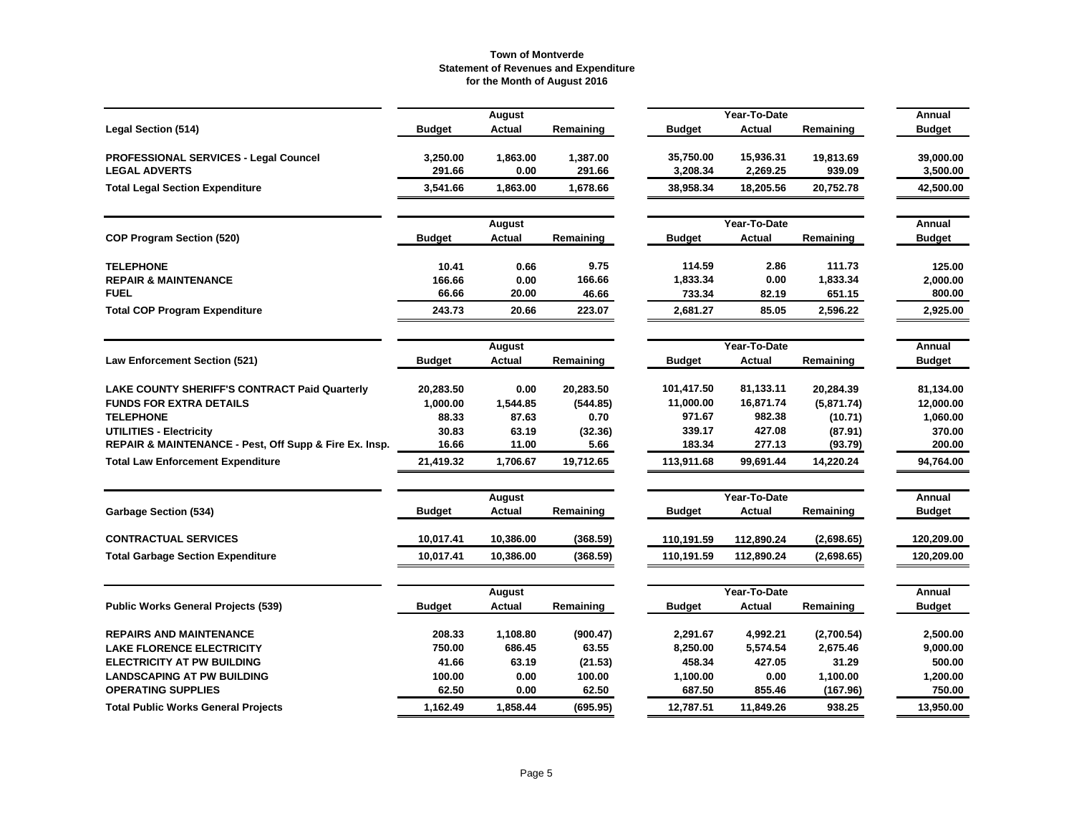|                                                        |               | <b>August</b> |           |               | Year-To-Date |            | Annual        |
|--------------------------------------------------------|---------------|---------------|-----------|---------------|--------------|------------|---------------|
| <b>Legal Section (514)</b>                             | <b>Budget</b> | Actual        | Remaining | <b>Budget</b> | Actual       | Remaining  | <b>Budget</b> |
| PROFESSIONAL SERVICES - Legal Councel                  | 3,250.00      | 1,863.00      | 1,387.00  | 35,750.00     | 15,936.31    | 19,813.69  | 39,000.00     |
| <b>LEGAL ADVERTS</b>                                   | 291.66        | 0.00          | 291.66    | 3,208.34      | 2,269.25     | 939.09     | 3,500.00      |
| <b>Total Legal Section Expenditure</b>                 | 3,541.66      | 1,863.00      | 1,678.66  | 38,958.34     | 18,205.56    | 20,752.78  | 42,500.00     |
|                                                        |               | August        |           |               | Year-To-Date |            | Annual        |
| <b>COP Program Section (520)</b>                       | <b>Budget</b> | Actual        | Remaining | <b>Budget</b> | Actual       | Remaining  | <b>Budget</b> |
| <b>TELEPHONE</b>                                       | 10.41         | 0.66          | 9.75      | 114.59        | 2.86         | 111.73     | 125.00        |
| <b>REPAIR &amp; MAINTENANCE</b>                        | 166.66        | 0.00          | 166.66    | 1,833.34      | 0.00         | 1,833.34   | 2,000.00      |
| <b>FUEL</b>                                            | 66.66         | 20.00         | 46.66     | 733.34        | 82.19        | 651.15     | 800.00        |
| <b>Total COP Program Expenditure</b>                   | 243.73        | 20.66         | 223.07    | 2,681.27      | 85.05        | 2,596.22   | 2,925.00      |
|                                                        |               | August        |           |               | Year-To-Date |            | Annual        |
| <b>Law Enforcement Section (521)</b>                   | <b>Budget</b> | <b>Actual</b> | Remaining | <b>Budget</b> | Actual       | Remaining  | <b>Budget</b> |
| LAKE COUNTY SHERIFF'S CONTRACT Paid Quarterly          | 20,283.50     | 0.00          | 20,283.50 | 101,417.50    | 81,133.11    | 20,284.39  | 81,134.00     |
| <b>FUNDS FOR EXTRA DETAILS</b>                         | 1,000.00      | 1,544.85      | (544.85)  | 11,000.00     | 16,871.74    | (5,871.74) | 12,000.00     |
| <b>TELEPHONE</b>                                       | 88.33         | 87.63         | 0.70      | 971.67        | 982.38       | (10.71)    | 1,060.00      |
| UTILITIES - Electricity                                | 30.83         | 63.19         | (32.36)   | 339.17        | 427.08       | (87.91)    | 370.00        |
| REPAIR & MAINTENANCE - Pest, Off Supp & Fire Ex. Insp. | 16.66         | 11.00         | 5.66      | 183.34        | 277.13       | (93.79)    | 200.00        |
| <b>Total Law Enforcement Expenditure</b>               | 21,419.32     | 1,706.67      | 19,712.65 | 113,911.68    | 99,691.44    | 14,220.24  | 94,764.00     |
|                                                        |               | August        |           |               | Annual       |            |               |
| <b>Garbage Section (534)</b>                           | <b>Budget</b> | Actual        | Remaining | <b>Budget</b> | Actual       | Remaining  | <b>Budget</b> |
| <b>CONTRACTUAL SERVICES</b>                            | 10,017.41     | 10,386.00     | (368.59)  | 110,191.59    | 112,890.24   | (2,698.65) | 120,209.00    |
| <b>Total Garbage Section Expenditure</b>               | 10,017.41     | 10,386.00     | (368.59)  | 110,191.59    | 112,890.24   | (2,698.65) | 120,209.00    |
|                                                        |               |               |           |               |              |            |               |
|                                                        |               | August        |           |               | Year-To-Date |            | Annual        |
| <b>Public Works General Projects (539)</b>             | <b>Budget</b> | Actual        | Remaining | <b>Budget</b> | Actual       | Remaining  | <b>Budget</b> |
| <b>REPAIRS AND MAINTENANCE</b>                         | 208.33        | 1,108.80      | (900.47)  | 2,291.67      | 4,992.21     | (2,700.54) | 2,500.00      |
| <b>LAKE FLORENCE ELECTRICITY</b>                       | 750.00        | 686.45        | 63.55     | 8,250.00      | 5,574.54     | 2,675.46   | 9,000.00      |
| <b>ELECTRICITY AT PW BUILDING</b>                      | 41.66         | 63.19         | (21.53)   | 458.34        | 427.05       | 31.29      | 500.00        |
| <b>LANDSCAPING AT PW BUILDING</b>                      | 100.00        | 0.00          | 100.00    | 1,100.00      | 0.00         | 1,100.00   | 1,200.00      |
| <b>OPERATING SUPPLIES</b>                              | 62.50         | 0.00          | 62.50     | 687.50        | 855.46       | (167.96)   | 750.00        |
| <b>Total Public Works General Projects</b>             | 1,162.49      | 1.858.44      | (695.95)  | 12,787.51     | 11,849.26    | 938.25     | 13,950.00     |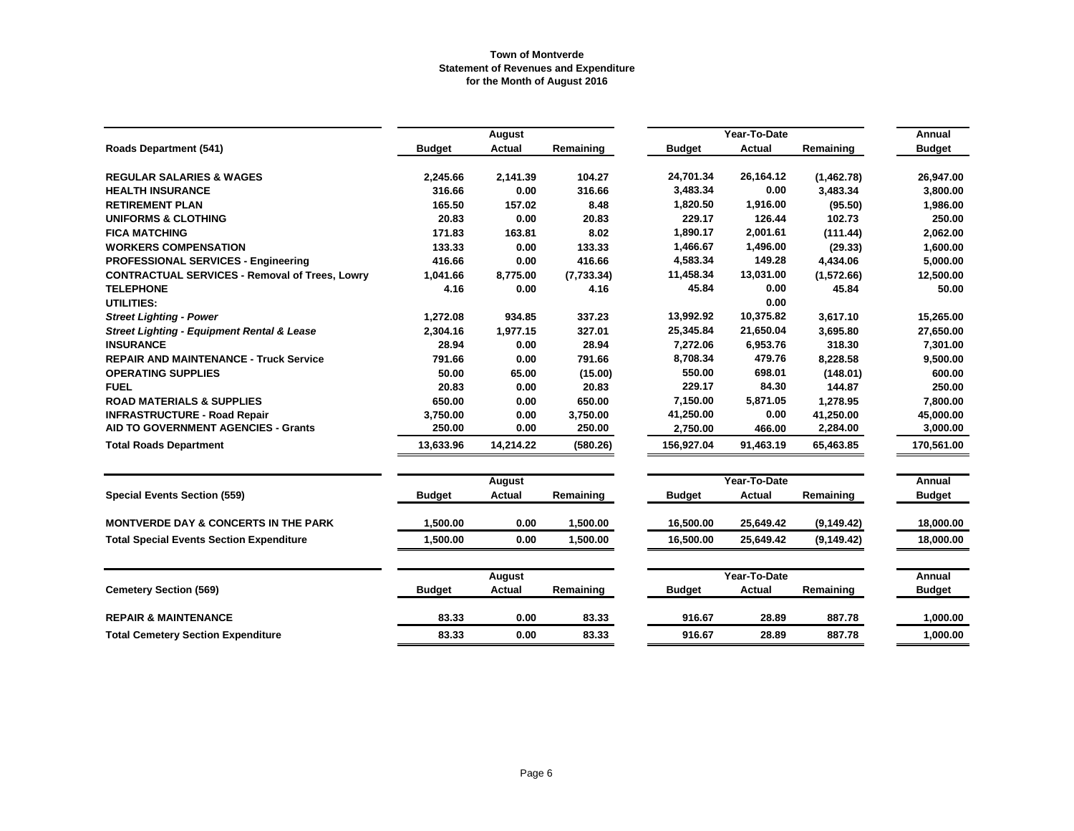|                                                       |               | August        |            |               | Year-To-Date  |             |                         |  |
|-------------------------------------------------------|---------------|---------------|------------|---------------|---------------|-------------|-------------------------|--|
| <b>Roads Department (541)</b>                         | <b>Budget</b> | <b>Actual</b> | Remaining  | <b>Budget</b> | <b>Actual</b> | Remaining   | Annual<br><b>Budget</b> |  |
| <b>REGULAR SALARIES &amp; WAGES</b>                   | 2,245.66      | 2,141.39      | 104.27     | 24,701.34     | 26,164.12     | (1,462.78)  | 26,947.00               |  |
| <b>HEALTH INSURANCE</b>                               | 316.66        | 0.00          | 316.66     | 3,483.34      | 0.00          | 3.483.34    | 3.800.00                |  |
| <b>RETIREMENT PLAN</b>                                | 165.50        | 157.02        | 8.48       | 1,820.50      | 1,916.00      | (95.50)     | 1,986.00                |  |
| <b>UNIFORMS &amp; CLOTHING</b>                        | 20.83         | 0.00          | 20.83      | 229.17        | 126.44        | 102.73      | 250.00                  |  |
| <b>FICA MATCHING</b>                                  | 171.83        | 163.81        | 8.02       | 1,890.17      | 2,001.61      | (111.44)    | 2,062.00                |  |
| <b>WORKERS COMPENSATION</b>                           | 133.33        | 0.00          | 133.33     | 1,466.67      | 1,496.00      | (29.33)     | 1,600.00                |  |
| <b>PROFESSIONAL SERVICES - Engineering</b>            | 416.66        | 0.00          | 416.66     | 4,583.34      | 149.28        | 4,434.06    | 5,000.00                |  |
| <b>CONTRACTUAL SERVICES - Removal of Trees, Lowry</b> | 1,041.66      | 8,775.00      | (7,733.34) | 11,458.34     | 13,031.00     | (1,572.66)  | 12,500.00               |  |
| <b>TELEPHONE</b>                                      | 4.16          | 0.00          | 4.16       | 45.84         | 0.00          | 45.84       | 50.00                   |  |
| UTILITIES:                                            |               |               |            |               | 0.00          |             |                         |  |
| <b>Street Lighting - Power</b>                        | 1,272.08      | 934.85        | 337.23     | 13,992.92     | 10,375.82     | 3,617.10    | 15,265.00               |  |
| <b>Street Lighting - Equipment Rental &amp; Lease</b> | 2,304.16      | 1,977.15      | 327.01     | 25,345.84     | 21,650.04     | 3,695.80    | 27,650.00               |  |
| <b>INSURANCE</b>                                      | 28.94         | 0.00          | 28.94      | 7,272.06      | 6,953.76      | 318.30      | 7,301.00                |  |
| <b>REPAIR AND MAINTENANCE - Truck Service</b>         | 791.66        | 0.00          | 791.66     | 8,708.34      | 479.76        | 8,228.58    | 9,500.00                |  |
| <b>OPERATING SUPPLIES</b>                             | 50.00         | 65.00         | (15.00)    | 550.00        | 698.01        | (148.01)    | 600.00                  |  |
| <b>FUEL</b>                                           | 20.83         | 0.00          | 20.83      | 229.17        | 84.30         | 144.87      | 250.00                  |  |
| <b>ROAD MATERIALS &amp; SUPPLIES</b>                  | 650.00        | 0.00          | 650.00     | 7,150.00      | 5,871.05      | 1,278.95    | 7,800.00                |  |
| <b>INFRASTRUCTURE - Road Repair</b>                   | 3,750.00      | 0.00          | 3,750.00   | 41,250.00     | 0.00          | 41,250.00   | 45,000.00               |  |
| AID TO GOVERNMENT AGENCIES - Grants                   | 250.00        | 0.00          | 250.00     | 2,750.00      | 466.00        | 2,284.00    | 3,000.00                |  |
| <b>Total Roads Department</b>                         | 13,633.96     | 14,214.22     | (580.26)   | 156,927.04    | 91,463.19     | 65,463.85   | 170,561.00              |  |
|                                                       |               | August        |            |               | Year-To-Date  |             | Annual                  |  |
| <b>Special Events Section (559)</b>                   | <b>Budget</b> | Actual        | Remaining  | <b>Budget</b> | <b>Actual</b> | Remaining   | <b>Budget</b>           |  |
| <b>MONTVERDE DAY &amp; CONCERTS IN THE PARK</b>       | 1,500.00      | 0.00          | 1,500.00   | 16,500.00     | 25,649.42     | (9, 149.42) | 18,000.00               |  |
| <b>Total Special Events Section Expenditure</b>       | 1,500.00      | 0.00          | 1,500.00   | 16,500.00     | 25,649.42     | (9, 149.42) | 18,000.00               |  |
|                                                       |               | August        |            |               | Year-To-Date  |             | Annual                  |  |
| <b>Cemetery Section (569)</b>                         | <b>Budget</b> | Actual        | Remaining  | <b>Budget</b> | Actual        | Remaining   | <b>Budget</b>           |  |
| <b>REPAIR &amp; MAINTENANCE</b>                       | 83.33         | 0.00          | 83.33      | 916.67        | 28.89         | 887.78      | 1,000.00                |  |
| <b>Total Cemetery Section Expenditure</b>             | 83.33         | 0.00          | 83.33      | 916.67        | 28.89         | 887.78      | 1.000.00                |  |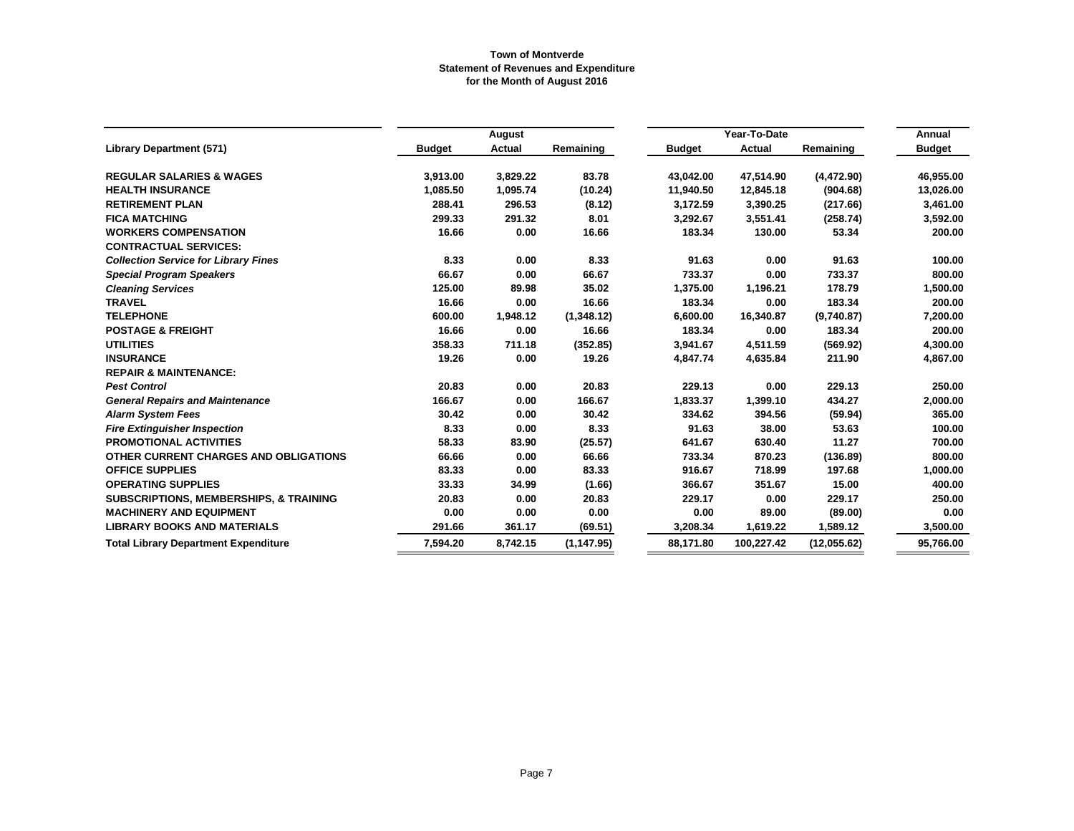|                                                   |               | August        |             |               | Year-To-Date |             | Annual        |
|---------------------------------------------------|---------------|---------------|-------------|---------------|--------------|-------------|---------------|
| <b>Library Department (571)</b>                   | <b>Budget</b> | <b>Actual</b> | Remaining   | <b>Budget</b> | Actual       | Remaining   | <b>Budget</b> |
| <b>REGULAR SALARIES &amp; WAGES</b>               | 3,913.00      | 3,829.22      | 83.78       | 43,042.00     | 47,514.90    | (4, 472.90) | 46,955.00     |
| <b>HEALTH INSURANCE</b>                           | 1,085.50      | 1,095.74      | (10.24)     | 11,940.50     | 12,845.18    | (904.68)    | 13,026.00     |
| <b>RETIREMENT PLAN</b>                            | 288.41        | 296.53        | (8.12)      | 3,172.59      | 3,390.25     | (217.66)    | 3,461.00      |
| <b>FICA MATCHING</b>                              | 299.33        | 291.32        | 8.01        | 3,292.67      | 3,551.41     | (258.74)    | 3,592.00      |
| <b>WORKERS COMPENSATION</b>                       | 16.66         | 0.00          | 16.66       | 183.34        | 130.00       | 53.34       | 200.00        |
| <b>CONTRACTUAL SERVICES:</b>                      |               |               |             |               |              |             |               |
| <b>Collection Service for Library Fines</b>       | 8.33          | 0.00          | 8.33        | 91.63         | 0.00         | 91.63       | 100.00        |
| <b>Special Program Speakers</b>                   | 66.67         | 0.00          | 66.67       | 733.37        | 0.00         | 733.37      | 800.00        |
| <b>Cleaning Services</b>                          | 125.00        | 89.98         | 35.02       | 1,375.00      | 1,196.21     | 178.79      | 1,500.00      |
| <b>TRAVEL</b>                                     | 16.66         | 0.00          | 16.66       | 183.34        | 0.00         | 183.34      | 200.00        |
| <b>TELEPHONE</b>                                  | 600.00        | 1,948.12      | (1,348.12)  | 6,600.00      | 16,340.87    | (9,740.87)  | 7,200.00      |
| <b>POSTAGE &amp; FREIGHT</b>                      | 16.66         | 0.00          | 16.66       | 183.34        | 0.00         | 183.34      | 200.00        |
| <b>UTILITIES</b>                                  | 358.33        | 711.18        | (352.85)    | 3,941.67      | 4,511.59     | (569.92)    | 4,300.00      |
| <b>INSURANCE</b>                                  | 19.26         | 0.00          | 19.26       | 4,847.74      | 4,635.84     | 211.90      | 4,867.00      |
| <b>REPAIR &amp; MAINTENANCE:</b>                  |               |               |             |               |              |             |               |
| <b>Pest Control</b>                               | 20.83         | 0.00          | 20.83       | 229.13        | 0.00         | 229.13      | 250.00        |
| <b>General Repairs and Maintenance</b>            | 166.67        | 0.00          | 166.67      | 1,833.37      | 1,399.10     | 434.27      | 2,000.00      |
| <b>Alarm System Fees</b>                          | 30.42         | 0.00          | 30.42       | 334.62        | 394.56       | (59.94)     | 365.00        |
| <b>Fire Extinguisher Inspection</b>               | 8.33          | 0.00          | 8.33        | 91.63         | 38.00        | 53.63       | 100.00        |
| <b>PROMOTIONAL ACTIVITIES</b>                     | 58.33         | 83.90         | (25.57)     | 641.67        | 630.40       | 11.27       | 700.00        |
| OTHER CURRENT CHARGES AND OBLIGATIONS             | 66.66         | 0.00          | 66.66       | 733.34        | 870.23       | (136.89)    | 800.00        |
| <b>OFFICE SUPPLIES</b>                            | 83.33         | 0.00          | 83.33       | 916.67        | 718.99       | 197.68      | 1,000.00      |
| <b>OPERATING SUPPLIES</b>                         | 33.33         | 34.99         | (1.66)      | 366.67        | 351.67       | 15.00       | 400.00        |
| <b>SUBSCRIPTIONS, MEMBERSHIPS, &amp; TRAINING</b> | 20.83         | 0.00          | 20.83       | 229.17        | 0.00         | 229.17      | 250.00        |
| <b>MACHINERY AND EQUIPMENT</b>                    | 0.00          | 0.00          | 0.00        | 0.00          | 89.00        | (89.00)     | 0.00          |
| <b>LIBRARY BOOKS AND MATERIALS</b>                | 291.66        | 361.17        | (69.51)     | 3,208.34      | 1,619.22     | 1,589.12    | 3,500.00      |
| <b>Total Library Department Expenditure</b>       | 7,594.20      | 8,742.15      | (1, 147.95) | 88,171.80     | 100,227.42   | (12,055.62) | 95,766.00     |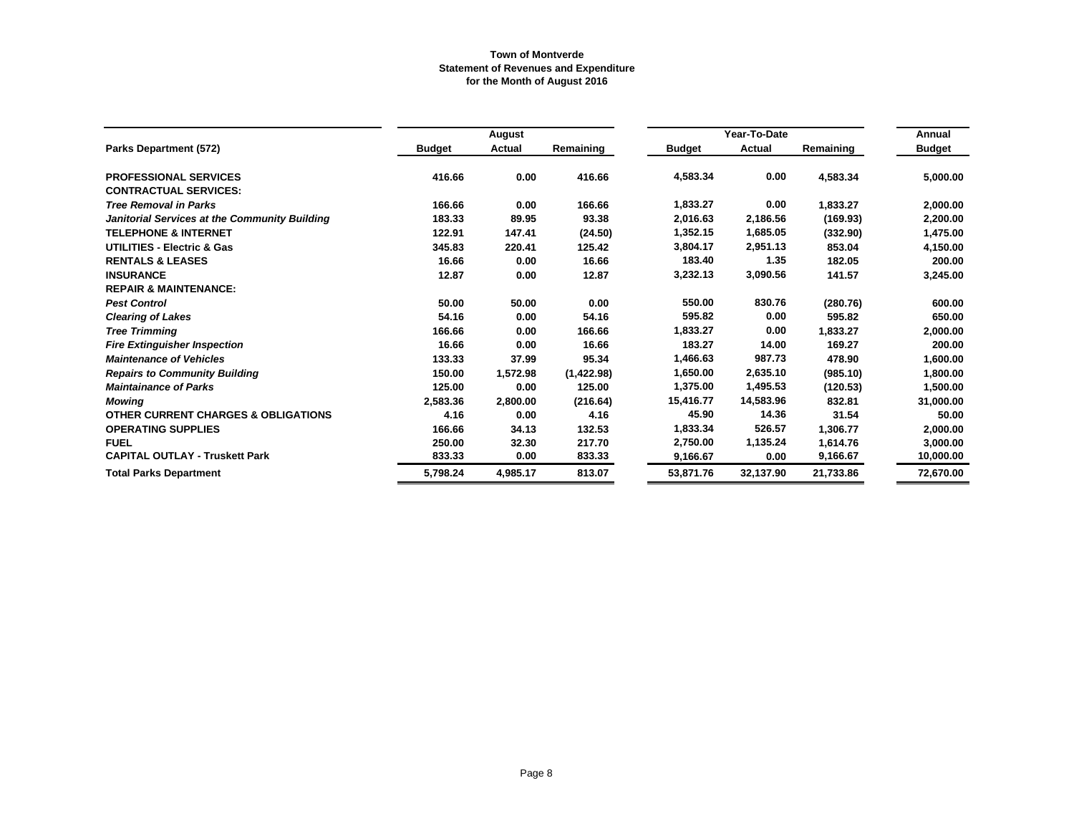|                                                |               | August   |            |               | Year-To-Date |           | Annual        |
|------------------------------------------------|---------------|----------|------------|---------------|--------------|-----------|---------------|
| Parks Department (572)                         | <b>Budget</b> | Actual   | Remaining  | <b>Budget</b> | Actual       | Remaining | <b>Budget</b> |
| <b>PROFESSIONAL SERVICES</b>                   | 416.66        | 0.00     | 416.66     | 4,583.34      | 0.00         | 4,583.34  | 5,000.00      |
| <b>CONTRACTUAL SERVICES:</b>                   |               |          |            |               |              |           |               |
| <b>Tree Removal in Parks</b>                   | 166.66        | 0.00     | 166.66     | 1,833.27      | 0.00         | 1,833.27  | 2,000.00      |
| Janitorial Services at the Community Building  | 183.33        | 89.95    | 93.38      | 2,016.63      | 2,186.56     | (169.93)  | 2,200.00      |
| <b>TELEPHONE &amp; INTERNET</b>                | 122.91        | 147.41   | (24.50)    | 1,352.15      | 1,685.05     | (332.90)  | 1,475.00      |
| <b>UTILITIES - Electric &amp; Gas</b>          | 345.83        | 220.41   | 125.42     | 3.804.17      | 2,951.13     | 853.04    | 4,150.00      |
| <b>RENTALS &amp; LEASES</b>                    | 16.66         | 0.00     | 16.66      | 183.40        | 1.35         | 182.05    | 200.00        |
| <b>INSURANCE</b>                               | 12.87         | 0.00     | 12.87      | 3,232.13      | 3,090.56     | 141.57    | 3,245.00      |
| <b>REPAIR &amp; MAINTENANCE:</b>               |               |          |            |               |              |           |               |
| <b>Pest Control</b>                            | 50.00         | 50.00    | 0.00       | 550.00        | 830.76       | (280.76)  | 600.00        |
| <b>Clearing of Lakes</b>                       | 54.16         | 0.00     | 54.16      | 595.82        | 0.00         | 595.82    | 650.00        |
| <b>Tree Trimming</b>                           | 166.66        | 0.00     | 166.66     | 1,833.27      | 0.00         | 1,833.27  | 2,000.00      |
| <b>Fire Extinguisher Inspection</b>            | 16.66         | 0.00     | 16.66      | 183.27        | 14.00        | 169.27    | 200.00        |
| <b>Maintenance of Vehicles</b>                 | 133.33        | 37.99    | 95.34      | 1,466.63      | 987.73       | 478.90    | 1,600.00      |
| <b>Repairs to Community Building</b>           | 150.00        | 1,572.98 | (1,422.98) | 1,650.00      | 2,635.10     | (985.10)  | 1,800.00      |
| <b>Maintainance of Parks</b>                   | 125.00        | 0.00     | 125.00     | 1,375.00      | 1,495.53     | (120.53)  | 1,500.00      |
| <b>Mowing</b>                                  | 2,583.36      | 2,800.00 | (216.64)   | 15,416.77     | 14,583.96    | 832.81    | 31,000.00     |
| <b>OTHER CURRENT CHARGES &amp; OBLIGATIONS</b> | 4.16          | 0.00     | 4.16       | 45.90         | 14.36        | 31.54     | 50.00         |
| <b>OPERATING SUPPLIES</b>                      | 166.66        | 34.13    | 132.53     | 1,833.34      | 526.57       | 1,306.77  | 2,000.00      |
| <b>FUEL</b>                                    | 250.00        | 32.30    | 217.70     | 2,750.00      | 1,135.24     | 1,614.76  | 3,000.00      |
| <b>CAPITAL OUTLAY - Truskett Park</b>          | 833.33        | 0.00     | 833.33     | 9,166.67      | 0.00         | 9,166.67  | 10,000.00     |
| <b>Total Parks Department</b>                  | 5,798.24      | 4,985.17 | 813.07     | 53,871.76     | 32,137.90    | 21,733.86 | 72,670.00     |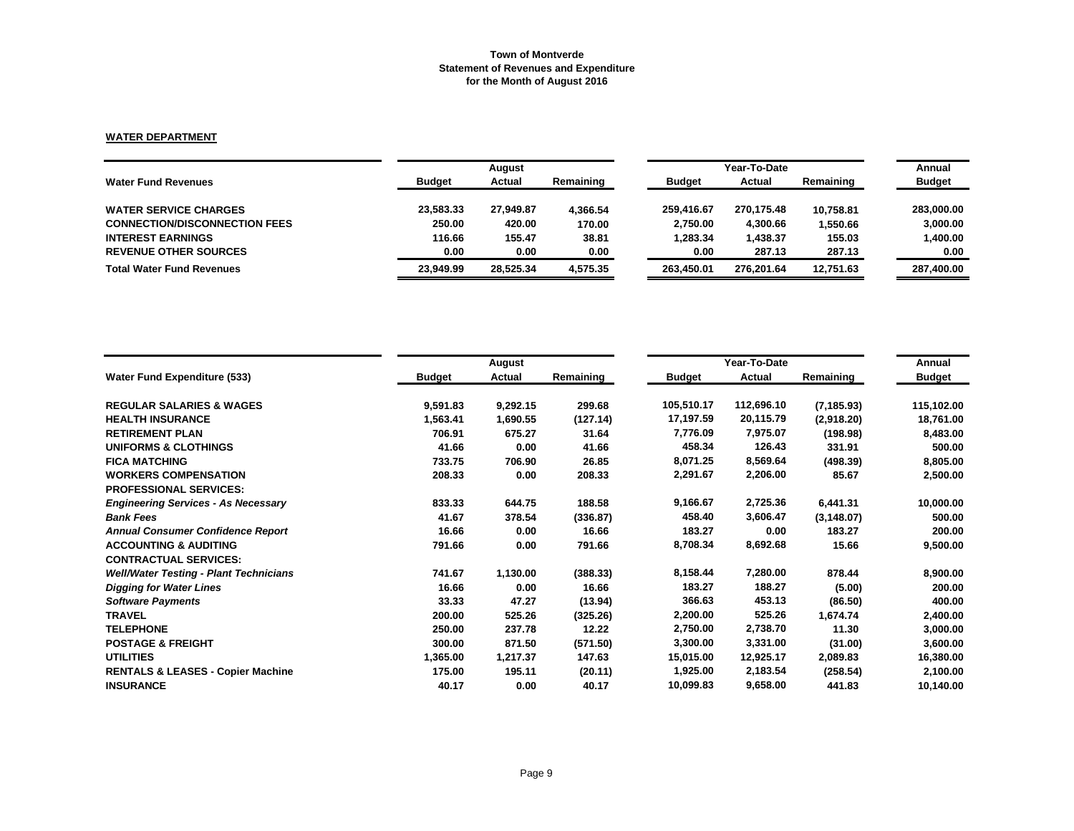# **WATER DEPARTMENT**

|                                      |               | August    |           |               | Year-To-Date |           |               |  |
|--------------------------------------|---------------|-----------|-----------|---------------|--------------|-----------|---------------|--|
| <b>Water Fund Revenues</b>           | <b>Budget</b> | Actual    | Remaining | <b>Budget</b> | Actual       | Remaining | <b>Budget</b> |  |
| <b>WATER SERVICE CHARGES</b>         | 23.583.33     | 27,949.87 | 4,366.54  | 259.416.67    | 270.175.48   | 10,758.81 | 283,000,00    |  |
| <b>CONNECTION/DISCONNECTION FEES</b> | 250.00        | 420.00    | 170.00    | 2,750.00      | 4,300.66     | 1,550.66  | 3,000.00      |  |
| <b>INTEREST EARNINGS</b>             | 116.66        | 155.47    | 38.81     | 1,283.34      | 1,438.37     | 155.03    | 1,400.00      |  |
| <b>REVENUE OTHER SOURCES</b>         | 0.00          | 0.00      | 0.00      | 0.00          | 287.13       | 287.13    | 0.00          |  |
| <b>Total Water Fund Revenues</b>     | 23.949.99     | 28.525.34 | 4.575.35  | 263.450.01    | 276.201.64   | 12.751.63 | 287,400.00    |  |

|                                               |               | August   |           |               | Year-To-Date |             |               |  |
|-----------------------------------------------|---------------|----------|-----------|---------------|--------------|-------------|---------------|--|
| <b>Water Fund Expenditure (533)</b>           | <b>Budget</b> | Actual   | Remaining | <b>Budget</b> | Actual       | Remaining   | <b>Budget</b> |  |
| <b>REGULAR SALARIES &amp; WAGES</b>           | 9,591.83      | 9,292.15 | 299.68    | 105,510.17    | 112,696.10   | (7, 185.93) | 115,102.00    |  |
| <b>HEALTH INSURANCE</b>                       | 1,563.41      | 1,690.55 | (127.14)  | 17,197.59     | 20,115.79    | (2,918.20)  | 18,761.00     |  |
| <b>RETIREMENT PLAN</b>                        | 706.91        | 675.27   | 31.64     | 7,776.09      | 7,975.07     | (198.98)    | 8,483.00      |  |
| <b>UNIFORMS &amp; CLOTHINGS</b>               | 41.66         | 0.00     | 41.66     | 458.34        | 126.43       | 331.91      | 500.00        |  |
| <b>FICA MATCHING</b>                          | 733.75        | 706.90   | 26.85     | 8,071.25      | 8,569.64     | (498.39)    | 8,805.00      |  |
| <b>WORKERS COMPENSATION</b>                   | 208.33        | 0.00     | 208.33    | 2,291.67      | 2,206.00     | 85.67       | 2,500.00      |  |
| <b>PROFESSIONAL SERVICES:</b>                 |               |          |           |               |              |             |               |  |
| <b>Engineering Services - As Necessary</b>    | 833.33        | 644.75   | 188.58    | 9,166.67      | 2,725.36     | 6,441.31    | 10,000.00     |  |
| <b>Bank Fees</b>                              | 41.67         | 378.54   | (336.87)  | 458.40        | 3,606.47     | (3, 148.07) | 500.00        |  |
| <b>Annual Consumer Confidence Report</b>      | 16.66         | 0.00     | 16.66     | 183.27        | 0.00         | 183.27      | 200.00        |  |
| <b>ACCOUNTING &amp; AUDITING</b>              | 791.66        | 0.00     | 791.66    | 8,708.34      | 8,692.68     | 15.66       | 9,500.00      |  |
| <b>CONTRACTUAL SERVICES:</b>                  |               |          |           |               |              |             |               |  |
| <b>Well/Water Testing - Plant Technicians</b> | 741.67        | 1,130.00 | (388.33)  | 8,158.44      | 7,280.00     | 878.44      | 8,900.00      |  |
| <b>Digging for Water Lines</b>                | 16.66         | 0.00     | 16.66     | 183.27        | 188.27       | (5.00)      | 200.00        |  |
| <b>Software Payments</b>                      | 33.33         | 47.27    | (13.94)   | 366.63        | 453.13       | (86.50)     | 400.00        |  |
| <b>TRAVEL</b>                                 | 200.00        | 525.26   | (325.26)  | 2,200.00      | 525.26       | 1,674.74    | 2,400.00      |  |
| <b>TELEPHONE</b>                              | 250.00        | 237.78   | 12.22     | 2,750.00      | 2,738.70     | 11.30       | 3,000.00      |  |
| <b>POSTAGE &amp; FREIGHT</b>                  | 300.00        | 871.50   | (571.50)  | 3,300.00      | 3,331.00     | (31.00)     | 3,600.00      |  |
| <b>UTILITIES</b>                              | 1,365.00      | 1,217.37 | 147.63    | 15,015.00     | 12,925.17    | 2,089.83    | 16,380.00     |  |
| <b>RENTALS &amp; LEASES - Copier Machine</b>  | 175.00        | 195.11   | (20.11)   | 1,925.00      | 2,183.54     | (258.54)    | 2,100.00      |  |
| <b>INSURANCE</b>                              | 40.17         | 0.00     | 40.17     | 10,099.83     | 9,658.00     | 441.83      | 10,140.00     |  |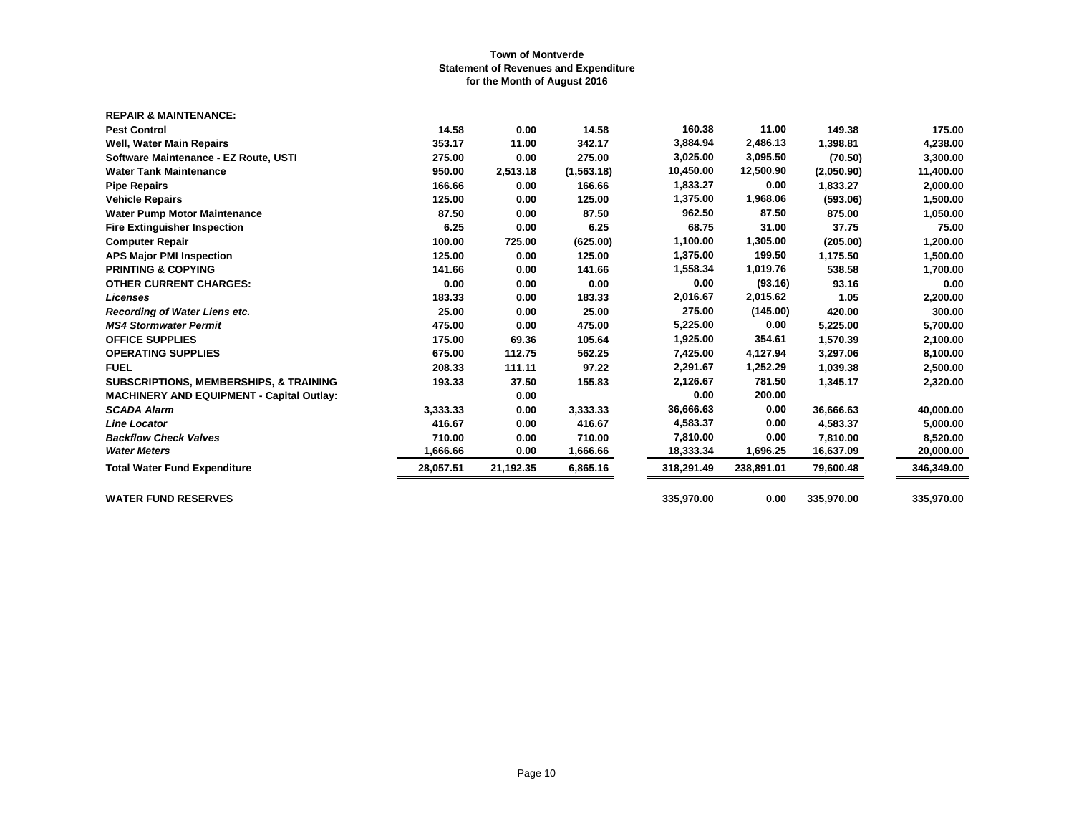| <b>REPAIR &amp; MAINTENANCE:</b>                  |           |           |             |            |            |            |            |
|---------------------------------------------------|-----------|-----------|-------------|------------|------------|------------|------------|
| <b>Pest Control</b>                               | 14.58     | 0.00      | 14.58       | 160.38     | 11.00      | 149.38     | 175.00     |
| Well, Water Main Repairs                          | 353.17    | 11.00     | 342.17      | 3,884.94   | 2,486.13   | 1,398.81   | 4,238.00   |
| Software Maintenance - EZ Route, USTI             | 275.00    | 0.00      | 275.00      | 3,025.00   | 3,095.50   | (70.50)    | 3,300.00   |
| <b>Water Tank Maintenance</b>                     | 950.00    | 2,513.18  | (1, 563.18) | 10,450.00  | 12,500.90  | (2,050.90) | 11,400.00  |
| <b>Pipe Repairs</b>                               | 166.66    | 0.00      | 166.66      | 1,833.27   | 0.00       | 1,833.27   | 2,000.00   |
| <b>Vehicle Repairs</b>                            | 125.00    | 0.00      | 125.00      | 1,375.00   | 1,968.06   | (593.06)   | 1,500.00   |
| <b>Water Pump Motor Maintenance</b>               | 87.50     | 0.00      | 87.50       | 962.50     | 87.50      | 875.00     | 1,050.00   |
| <b>Fire Extinguisher Inspection</b>               | 6.25      | 0.00      | 6.25        | 68.75      | 31.00      | 37.75      | 75.00      |
| <b>Computer Repair</b>                            | 100.00    | 725.00    | (625.00)    | 1,100.00   | 1,305.00   | (205.00)   | 1,200.00   |
| <b>APS Major PMI Inspection</b>                   | 125.00    | 0.00      | 125.00      | 1,375.00   | 199.50     | 1,175.50   | 1,500.00   |
| <b>PRINTING &amp; COPYING</b>                     | 141.66    | 0.00      | 141.66      | 1,558.34   | 1,019.76   | 538.58     | 1,700.00   |
| <b>OTHER CURRENT CHARGES:</b>                     | 0.00      | 0.00      | 0.00        | 0.00       | (93.16)    | 93.16      | 0.00       |
| <b>Licenses</b>                                   | 183.33    | 0.00      | 183.33      | 2,016.67   | 2,015.62   | 1.05       | 2,200.00   |
| Recording of Water Liens etc.                     | 25.00     | 0.00      | 25.00       | 275.00     | (145.00)   | 420.00     | 300.00     |
| <b>MS4 Stormwater Permit</b>                      | 475.00    | 0.00      | 475.00      | 5,225.00   | 0.00       | 5,225.00   | 5,700.00   |
| <b>OFFICE SUPPLIES</b>                            | 175.00    | 69.36     | 105.64      | 1,925.00   | 354.61     | 1,570.39   | 2,100.00   |
| <b>OPERATING SUPPLIES</b>                         | 675.00    | 112.75    | 562.25      | 7,425.00   | 4,127.94   | 3,297.06   | 8,100.00   |
| <b>FUEL</b>                                       | 208.33    | 111.11    | 97.22       | 2,291.67   | 1,252.29   | 1,039.38   | 2,500.00   |
| <b>SUBSCRIPTIONS, MEMBERSHIPS, &amp; TRAINING</b> | 193.33    | 37.50     | 155.83      | 2,126.67   | 781.50     | 1,345.17   | 2,320.00   |
| <b>MACHINERY AND EQUIPMENT - Capital Outlay:</b>  |           | 0.00      |             | 0.00       | 200.00     |            |            |
| <b>SCADA Alarm</b>                                | 3,333.33  | 0.00      | 3,333.33    | 36,666.63  | 0.00       | 36,666.63  | 40,000.00  |
| <b>Line Locator</b>                               | 416.67    | 0.00      | 416.67      | 4,583.37   | 0.00       | 4,583.37   | 5,000.00   |
| <b>Backflow Check Valves</b>                      | 710.00    | 0.00      | 710.00      | 7,810.00   | 0.00       | 7,810.00   | 8,520.00   |
| <b>Water Meters</b>                               | 1,666.66  | 0.00      | 1,666.66    | 18,333.34  | 1,696.25   | 16,637.09  | 20,000.00  |
| <b>Total Water Fund Expenditure</b>               | 28,057.51 | 21,192.35 | 6,865.16    | 318,291.49 | 238,891.01 | 79,600.48  | 346,349.00 |
| <b>WATER FUND RESERVES</b>                        |           |           |             | 335,970.00 | 0.00       | 335,970.00 | 335,970.00 |